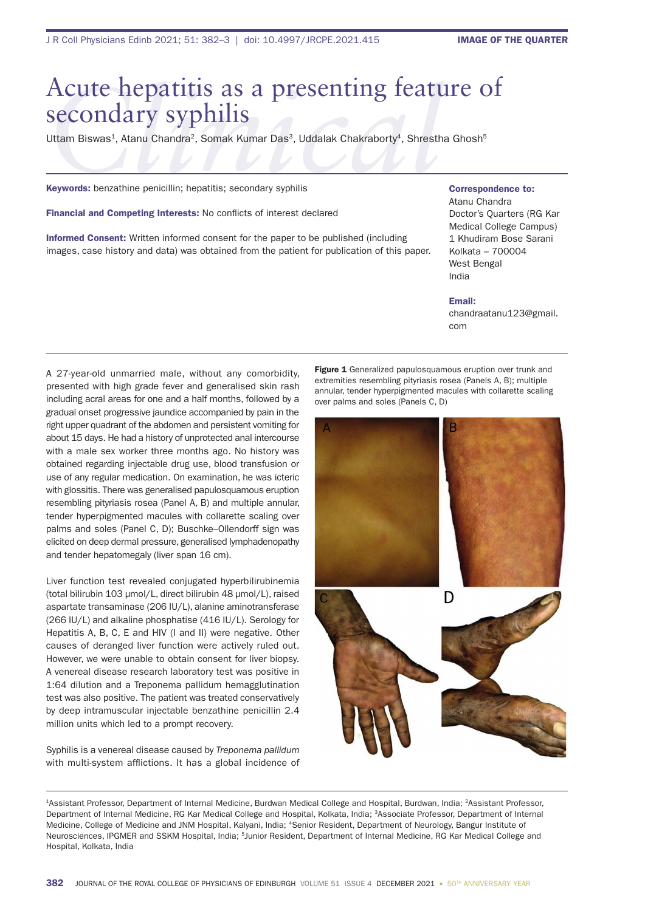# *Acute* hepatitis as a presenting feature of<br>
Secondary syphilis<br>
Uttam Biswas<sup>1</sup>, Atanu Chandra<sup>2</sup>, Somak Kumar Das<sup>3</sup>, Uddalak Chakraborty<sup>4</sup>, Shrestha Ghosh<sup>5</sup><br>
Keywords: benzathine penicillin; hepatitis; secondary syph secondary syphilis

Uttam Biswas<sup>1</sup>, Atanu Chandra<sup>2</sup>, Somak Kumar Das<sup>3</sup>, Uddalak Chakraborty<sup>4</sup>, Shrestha Ghosh<sup>5</sup>

Keywords: benzathine penicillin; hepatitis; secondary syphilis

Financial and Competing Interests: No conflicts of interest declared

Informed Consent: Written informed consent for the paper to be published (including images, case history and data) was obtained from the patient for publication of this paper.

# Correspondence to:

Atanu Chandra Doctor's Quarters (RG Kar Medical College Campus) 1 Khudiram Bose Sarani Kolkata – 700004 West Bengal India

#### Email:

chandraatanu123@gmail. com

A 27-year-old unmarried male, without any comorbidity, presented with high grade fever and generalised skin rash including acral areas for one and a half months, followed by a gradual onset progressive jaundice accompanied by pain in the right upper quadrant of the abdomen and persistent vomiting for about 15 days. He had a history of unprotected anal intercourse with a male sex worker three months ago. No history was obtained regarding injectable drug use, blood transfusion or use of any regular medication. On examination, he was icteric with glossitis. There was generalised papulosquamous eruption resembling pityriasis rosea (Panel A, B) and multiple annular, tender hyperpigmented macules with collarette scaling over palms and soles (Panel C, D); Buschke–Ollendorff sign was elicited on deep dermal pressure, generalised lymphadenopathy and tender hepatomegaly (liver span 16 cm).

Liver function test revealed conjugated hyperbilirubinemia (total bilirubin 103 µmol/L, direct bilirubin 48 µmol/L), raised aspartate transaminase (206 IU/L), alanine aminotransferase (266 IU/L) and alkaline phosphatise (416 IU/L). Serology for Hepatitis A, B, C, E and HIV (I and II) were negative. Other causes of deranged liver function were actively ruled out. However, we were unable to obtain consent for liver biopsy. A venereal disease research laboratory test was positive in 1:64 dilution and a Treponema pallidum hemagglutination test was also positive. The patient was treated conservatively by deep intramuscular injectable benzathine penicillin 2.4 million units which led to a prompt recovery.

Syphilis is a venereal disease caused by *Treponema pallidum* with multi-system afflictions. It has a global incidence of Figure 1 Generalized papulosquamous eruption over trunk and extremities resembling pityriasis rosea (Panels A, B); multiple annular, tender hyperpigmented macules with collarette scaling over palms and soles (Panels C, D)



<sup>1</sup>Assistant Professor, Department of Internal Medicine, Burdwan Medical College and Hospital, Burdwan, India; 2Assistant Professor, Department of Internal Medicine, RG Kar Medical College and Hospital, Kolkata, India; 3Associate Professor, Department of Internal Medicine, College of Medicine and JNM Hospital, Kalyani, India; 4Senior Resident, Department of Neurology, Bangur Institute of Neurosciences, IPGMER and SSKM Hospital, India; <sup>5</sup>Junior Resident, Department of Internal Medicine, RG Kar Medical College and Hospital, Kolkata, India